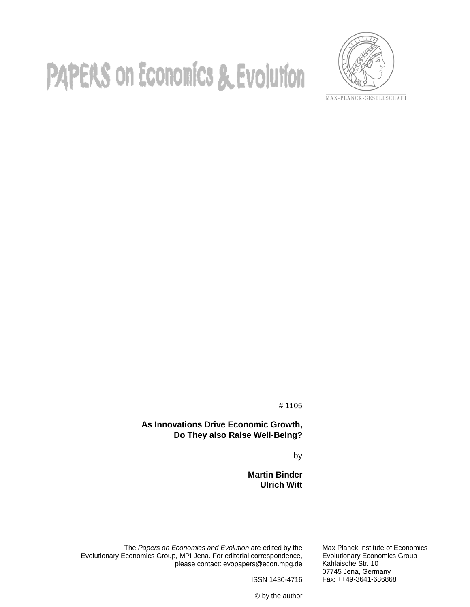# **PAPERS on Economics & Evolution**



MAX-PLANCK-GESELLSCHAFT

# 1105

**As Innovations Drive Economic Growth, Do They also Raise Well-Being?**

by

**Martin Binder Ulrich Witt**

The *Papers on Economics and Evolution* are edited by the Evolutionary Economics Group, MPI Jena. For editorial correspondence, please contact: evopaper[s@econ.mpg.de](mailto:buenstorf@mpiew-jena.mpg.de) Max Planck Institute of Economics Evolutionary Economics Group Kahlaische Str. 10 07745 Jena, Germany Fax: ++49-3641-686868

ISSN 1430-4716

by the author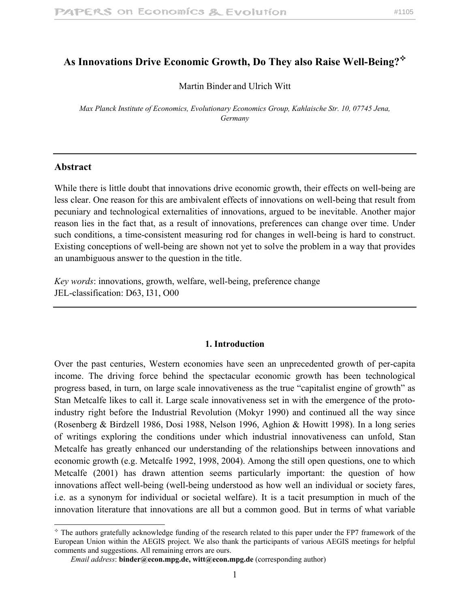# **As Innovations Drive Economic Growth, Do They also Raise Well-Being?**

Martin Binder and Ulrich Witt

*Max Planck Institute of Economics, Evolutionary Economics Group, Kahlaische Str. 10, 07745 Jena, Germany*

#### **Abstract**

 $\overline{a}$ 

While there is little doubt that innovations drive economic growth, their effects on well-being are less clear. One reason for this are ambivalent effects of innovations on well-being that result from pecuniary and technological externalities of innovations, argued to be inevitable. Another major reason lies in the fact that, as a result of innovations, preferences can change over time. Under such conditions, a time-consistent measuring rod for changes in well-being is hard to construct. Existing conceptions of well-being are shown not yet to solve the problem in a way that provides an unambiguous answer to the question in the title.

*Key words*: innovations, growth, welfare, well-being, preference change JEL-classification: D63, I31, O00

#### **1. Introduction**

Over the past centuries, Western economies have seen an unprecedented growth of per-capita income. The driving force behind the spectacular economic growth has been technological progress based, in turn, on large scale innovativeness as the true "capitalist engine of growth" as Stan Metcalfe likes to call it. Large scale innovativeness set in with the emergence of the protoindustry right before the Industrial Revolution (Mokyr 1990) and continued all the way since (Rosenberg & Birdzell 1986, Dosi 1988, Nelson 1996, Aghion & Howitt 1998). In a long series of writings exploring the conditions under which industrial innovativeness can unfold, Stan Metcalfe has greatly enhanced our understanding of the relationships between innovations and economic growth (e.g. Metcalfe 1992, 1998, 2004). Among the still open questions, one to which Metcalfe (2001) has drawn attention seems particularly important: the question of how innovations affect well-being (well-being understood as how well an individual or society fares, i.e. as a synonym for individual or societal welfare). It is a tacit presumption in much of the innovation literature that innovations are all but a common good. But in terms of what variable

 $*$  The authors gratefully acknowledge funding of the research related to this paper under the FP7 framework of the European Union within the AEGIS project. We also thank the participants of various AEGIS meetings for helpful comments and suggestions. All remaining errors are ours.

*Email address*: **binder@econ.mpg.de, witt@econ.mpg.de** (corresponding author)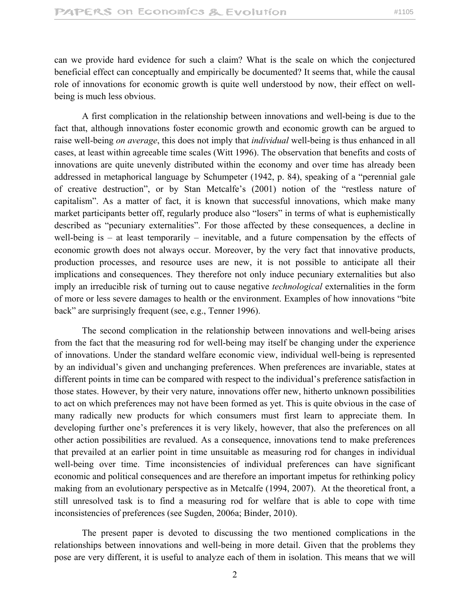can we provide hard evidence for such a claim? What is the scale on which the conjectured beneficial effect can conceptually and empirically be documented? It seems that, while the causal role of innovations for economic growth is quite well understood by now, their effect on wellbeing is much less obvious.

 A first complication in the relationship between innovations and well-being is due to the fact that, although innovations foster economic growth and economic growth can be argued to raise well-being *on average*, this does not imply that *individual* well-being is thus enhanced in all cases, at least within agreeable time scales (Witt 1996). The observation that benefits and costs of innovations are quite unevenly distributed within the economy and over time has already been addressed in metaphorical language by Schumpeter (1942, p. 84), speaking of a "perennial gale of creative destruction", or by Stan Metcalfe's (2001) notion of the "restless nature of capitalism". As a matter of fact, it is known that successful innovations, which make many market participants better off, regularly produce also "losers" in terms of what is euphemistically described as "pecuniary externalities". For those affected by these consequences, a decline in well-being is – at least temporarily – inevitable, and a future compensation by the effects of economic growth does not always occur. Moreover, by the very fact that innovative products, production processes, and resource uses are new, it is not possible to anticipate all their implications and consequences. They therefore not only induce pecuniary externalities but also imply an irreducible risk of turning out to cause negative *technological* externalities in the form of more or less severe damages to health or the environment. Examples of how innovations "bite back" are surprisingly frequent (see, e.g., Tenner 1996).

 The second complication in the relationship between innovations and well-being arises from the fact that the measuring rod for well-being may itself be changing under the experience of innovations. Under the standard welfare economic view, individual well-being is represented by an individual's given and unchanging preferences. When preferences are invariable, states at different points in time can be compared with respect to the individual's preference satisfaction in those states. However, by their very nature, innovations offer new, hitherto unknown possibilities to act on which preferences may not have been formed as yet. This is quite obvious in the case of many radically new products for which consumers must first learn to appreciate them. In developing further one's preferences it is very likely, however, that also the preferences on all other action possibilities are revalued. As a consequence, innovations tend to make preferences that prevailed at an earlier point in time unsuitable as measuring rod for changes in individual well-being over time. Time inconsistencies of individual preferences can have significant economic and political consequences and are therefore an important impetus for rethinking policy making from an evolutionary perspective as in Metcalfe (1994, 2007). At the theoretical front, a still unresolved task is to find a measuring rod for welfare that is able to cope with time inconsistencies of preferences (see Sugden, 2006a; Binder, 2010).

The present paper is devoted to discussing the two mentioned complications in the relationships between innovations and well-being in more detail. Given that the problems they pose are very different, it is useful to analyze each of them in isolation. This means that we will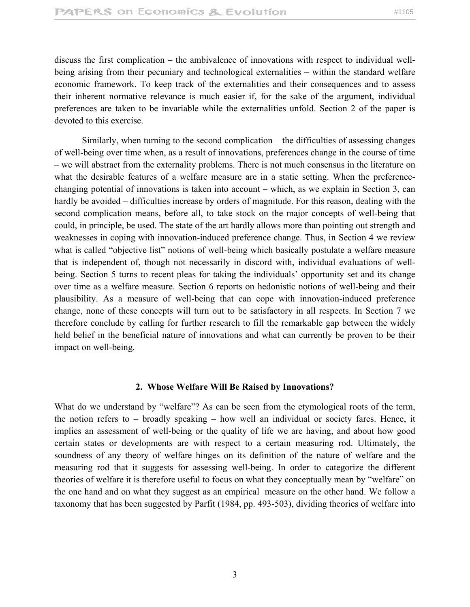discuss the first complication – the ambivalence of innovations with respect to individual wellbeing arising from their pecuniary and technological externalities – within the standard welfare economic framework. To keep track of the externalities and their consequences and to assess their inherent normative relevance is much easier if, for the sake of the argument, individual preferences are taken to be invariable while the externalities unfold. Section 2 of the paper is devoted to this exercise.

Similarly, when turning to the second complication – the difficulties of assessing changes of well-being over time when, as a result of innovations, preferences change in the course of time – we will abstract from the externality problems. There is not much consensus in the literature on what the desirable features of a welfare measure are in a static setting. When the preferencechanging potential of innovations is taken into account – which, as we explain in Section 3, can hardly be avoided – difficulties increase by orders of magnitude. For this reason, dealing with the second complication means, before all, to take stock on the major concepts of well-being that could, in principle, be used. The state of the art hardly allows more than pointing out strength and weaknesses in coping with innovation-induced preference change. Thus, in Section 4 we review what is called "objective list" notions of well-being which basically postulate a welfare measure that is independent of, though not necessarily in discord with, individual evaluations of wellbeing. Section 5 turns to recent pleas for taking the individuals' opportunity set and its change over time as a welfare measure. Section 6 reports on hedonistic notions of well-being and their plausibility. As a measure of well-being that can cope with innovation-induced preference change, none of these concepts will turn out to be satisfactory in all respects. In Section 7 we therefore conclude by calling for further research to fill the remarkable gap between the widely held belief in the beneficial nature of innovations and what can currently be proven to be their impact on well-being.

# **2. Whose Welfare Will Be Raised by Innovations?**

What do we understand by "welfare"? As can be seen from the etymological roots of the term, the notion refers to – broadly speaking – how well an individual or society fares. Hence, it implies an assessment of well-being or the quality of life we are having, and about how good certain states or developments are with respect to a certain measuring rod. Ultimately, the soundness of any theory of welfare hinges on its definition of the nature of welfare and the measuring rod that it suggests for assessing well-being. In order to categorize the different theories of welfare it is therefore useful to focus on what they conceptually mean by "welfare" on the one hand and on what they suggest as an empirical measure on the other hand. We follow a taxonomy that has been suggested by Parfit (1984, pp. 493-503), dividing theories of welfare into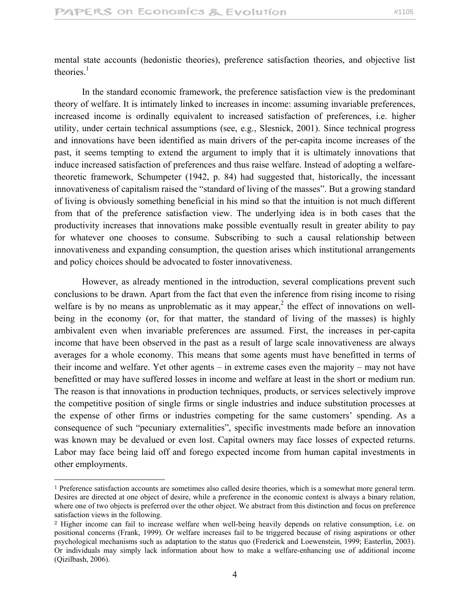mental state accounts (hedonistic theories), preference satisfaction theories, and objective list theories $<sup>1</sup>$ </sup>

 In the standard economic framework, the preference satisfaction view is the predominant theory of welfare. It is intimately linked to increases in income: assuming invariable preferences, increased income is ordinally equivalent to increased satisfaction of preferences, i.e. higher utility, under certain technical assumptions (see, e.g., Slesnick, 2001). Since technical progress and innovations have been identified as main drivers of the per-capita income increases of the past, it seems tempting to extend the argument to imply that it is ultimately innovations that induce increased satisfaction of preferences and thus raise welfare. Instead of adopting a welfaretheoretic framework, Schumpeter (1942, p. 84) had suggested that, historically, the incessant innovativeness of capitalism raised the "standard of living of the masses". But a growing standard of living is obviously something beneficial in his mind so that the intuition is not much different from that of the preference satisfaction view. The underlying idea is in both cases that the productivity increases that innovations make possible eventually result in greater ability to pay for whatever one chooses to consume. Subscribing to such a causal relationship between innovativeness and expanding consumption, the question arises which institutional arrangements and policy choices should be advocated to foster innovativeness.

 However, as already mentioned in the introduction, several complications prevent such conclusions to be drawn. Apart from the fact that even the inference from rising income to rising welfare is by no means as unproblematic as it may appear,<sup>2</sup> the effect of innovations on wellbeing in the economy (or, for that matter, the standard of living of the masses) is highly ambivalent even when invariable preferences are assumed. First, the increases in per-capita income that have been observed in the past as a result of large scale innovativeness are always averages for a whole economy. This means that some agents must have benefitted in terms of their income and welfare. Yet other agents – in extreme cases even the majority – may not have benefitted or may have suffered losses in income and welfare at least in the short or medium run. The reason is that innovations in production techniques, products, or services selectively improve the competitive position of single firms or single industries and induce substitution processes at the expense of other firms or industries competing for the same customers' spending. As a consequence of such "pecuniary externalities", specific investments made before an innovation was known may be devalued or even lost. Capital owners may face losses of expected returns. Labor may face being laid off and forego expected income from human capital investments in other employments.

 $\overline{a}$ 

<sup>1</sup> Preference satisfaction accounts are sometimes also called desire theories, which is a somewhat more general term. Desires are directed at one object of desire, while a preference in the economic context is always a binary relation, where one of two objects is preferred over the other object. We abstract from this distinction and focus on preference satisfaction views in the following.

<sup>2</sup> Higher income can fail to increase welfare when well-being heavily depends on relative consumption, i.e. on positional concerns (Frank, 1999). Or welfare increases fail to be triggered because of rising aspirations or other psychological mechanisms such as adaptation to the status quo (Frederick and Loewenstein, 1999; Easterlin, 2003). Or individuals may simply lack information about how to make a welfare-enhancing use of additional income (Qizilbash, 2006).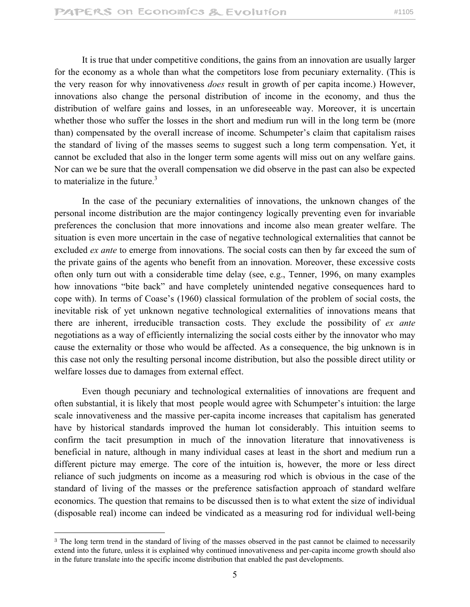It is true that under competitive conditions, the gains from an innovation are usually larger for the economy as a whole than what the competitors lose from pecuniary externality. (This is the very reason for why innovativeness *does* result in growth of per capita income.) However, innovations also change the personal distribution of income in the economy, and thus the distribution of welfare gains and losses, in an unforeseeable way. Moreover, it is uncertain whether those who suffer the losses in the short and medium run will in the long term be (more than) compensated by the overall increase of income. Schumpeter's claim that capitalism raises the standard of living of the masses seems to suggest such a long term compensation. Yet, it cannot be excluded that also in the longer term some agents will miss out on any welfare gains. Nor can we be sure that the overall compensation we did observe in the past can also be expected to materialize in the future. $3$ 

 In the case of the pecuniary externalities of innovations, the unknown changes of the personal income distribution are the major contingency logically preventing even for invariable preferences the conclusion that more innovations and income also mean greater welfare. The situation is even more uncertain in the case of negative technological externalities that cannot be excluded *ex ante* to emerge from innovations. The social costs can then by far exceed the sum of the private gains of the agents who benefit from an innovation. Moreover, these excessive costs often only turn out with a considerable time delay (see, e.g., Tenner, 1996, on many examples how innovations "bite back" and have completely unintended negative consequences hard to cope with). In terms of Coase's (1960) classical formulation of the problem of social costs, the inevitable risk of yet unknown negative technological externalities of innovations means that there are inherent, irreducible transaction costs. They exclude the possibility of *ex ante* negotiations as a way of efficiently internalizing the social costs either by the innovator who may cause the externality or those who would be affected. As a consequence, the big unknown is in this case not only the resulting personal income distribution, but also the possible direct utility or welfare losses due to damages from external effect.

 Even though pecuniary and technological externalities of innovations are frequent and often substantial, it is likely that most people would agree with Schumpeter's intuition: the large scale innovativeness and the massive per-capita income increases that capitalism has generated have by historical standards improved the human lot considerably. This intuition seems to confirm the tacit presumption in much of the innovation literature that innovativeness is beneficial in nature, although in many individual cases at least in the short and medium run a different picture may emerge. The core of the intuition is, however, the more or less direct reliance of such judgments on income as a measuring rod which is obvious in the case of the standard of living of the masses or the preference satisfaction approach of standard welfare economics. The question that remains to be discussed then is to what extent the size of individual (disposable real) income can indeed be vindicated as a measuring rod for individual well-being

<sup>&</sup>lt;sup>3</sup> The long term trend in the standard of living of the masses observed in the past cannot be claimed to necessarily extend into the future, unless it is explained why continued innovativeness and per-capita income growth should also in the future translate into the specific income distribution that enabled the past developments.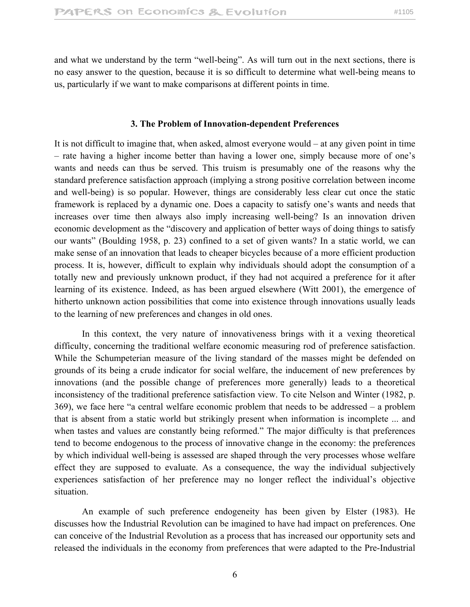and what we understand by the term "well-being". As will turn out in the next sections, there is no easy answer to the question, because it is so difficult to determine what well-being means to us, particularly if we want to make comparisons at different points in time.

#### **3. The Problem of Innovation-dependent Preferences**

It is not difficult to imagine that, when asked, almost everyone would – at any given point in time – rate having a higher income better than having a lower one, simply because more of one's wants and needs can thus be served. This truism is presumably one of the reasons why the standard preference satisfaction approach (implying a strong positive correlation between income and well-being) is so popular. However, things are considerably less clear cut once the static framework is replaced by a dynamic one. Does a capacity to satisfy one's wants and needs that increases over time then always also imply increasing well-being? Is an innovation driven economic development as the "discovery and application of better ways of doing things to satisfy our wants" (Boulding 1958, p. 23) confined to a set of given wants? In a static world, we can make sense of an innovation that leads to cheaper bicycles because of a more efficient production process. It is, however, difficult to explain why individuals should adopt the consumption of a totally new and previously unknown product, if they had not acquired a preference for it after learning of its existence. Indeed, as has been argued elsewhere (Witt 2001), the emergence of hitherto unknown action possibilities that come into existence through innovations usually leads to the learning of new preferences and changes in old ones.

 In this context, the very nature of innovativeness brings with it a vexing theoretical difficulty, concerning the traditional welfare economic measuring rod of preference satisfaction. While the Schumpeterian measure of the living standard of the masses might be defended on grounds of its being a crude indicator for social welfare, the inducement of new preferences by innovations (and the possible change of preferences more generally) leads to a theoretical inconsistency of the traditional preference satisfaction view. To cite Nelson and Winter (1982, p. 369), we face here "a central welfare economic problem that needs to be addressed – a problem that is absent from a static world but strikingly present when information is incomplete ... and when tastes and values are constantly being reformed." The major difficulty is that preferences tend to become endogenous to the process of innovative change in the economy: the preferences by which individual well-being is assessed are shaped through the very processes whose welfare effect they are supposed to evaluate. As a consequence, the way the individual subjectively experiences satisfaction of her preference may no longer reflect the individual's objective situation.

 An example of such preference endogeneity has been given by Elster (1983). He discusses how the Industrial Revolution can be imagined to have had impact on preferences. One can conceive of the Industrial Revolution as a process that has increased our opportunity sets and released the individuals in the economy from preferences that were adapted to the Pre-Industrial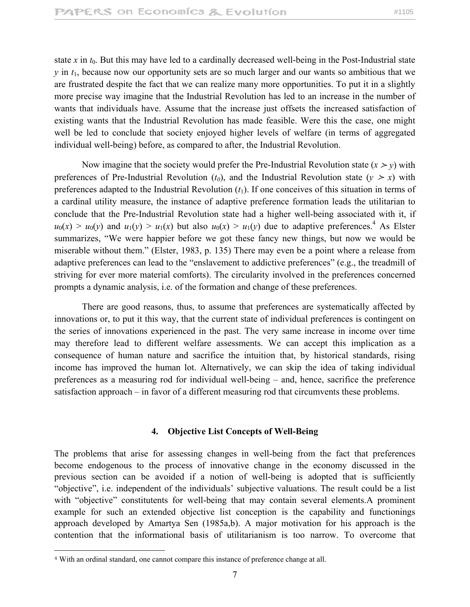state  $x$  in  $t_0$ . But this may have led to a cardinally decreased well-being in the Post-Industrial state  $y$  in  $t_1$ , because now our opportunity sets are so much larger and our wants so ambitious that we are frustrated despite the fact that we can realize many more opportunities. To put it in a slightly more precise way imagine that the Industrial Revolution has led to an increase in the number of wants that individuals have. Assume that the increase just offsets the increased satisfaction of existing wants that the Industrial Revolution has made feasible. Were this the case, one might well be led to conclude that society enjoyed higher levels of welfare (in terms of aggregated individual well-being) before, as compared to after, the Industrial Revolution.

Now imagine that the society would prefer the Pre-Industrial Revolution state  $(x > y)$  with preferences of Pre-Industrial Revolution  $(t_0)$ , and the Industrial Revolution state  $(y > x)$  with preferences adapted to the Industrial Revolution  $(t_1)$ . If one conceives of this situation in terms of a cardinal utility measure, the instance of adaptive preference formation leads the utilitarian to conclude that the Pre-Industrial Revolution state had a higher well-being associated with it, if  $u_0(x) > u_0(y)$  and  $u_1(y) > u_1(x)$  but also  $u_0(x) > u_1(y)$  due to adaptive preferences.<sup>4</sup> As Elster summarizes, "We were happier before we got these fancy new things, but now we would be miserable without them." (Elster, 1983, p. 135) There may even be a point where a release from adaptive preferences can lead to the "enslavement to addictive preferences" (e.g., the treadmill of striving for ever more material comforts). The circularity involved in the preferences concerned prompts a dynamic analysis, i.e. of the formation and change of these preferences.

 There are good reasons, thus, to assume that preferences are systematically affected by innovations or, to put it this way, that the current state of individual preferences is contingent on the series of innovations experienced in the past. The very same increase in income over time may therefore lead to different welfare assessments. We can accept this implication as a consequence of human nature and sacrifice the intuition that, by historical standards, rising income has improved the human lot. Alternatively, we can skip the idea of taking individual preferences as a measuring rod for individual well-being – and, hence, sacrifice the preference satisfaction approach – in favor of a different measuring rod that circumvents these problems.

#### **4. Objective List Concepts of Well-Being**

The problems that arise for assessing changes in well-being from the fact that preferences become endogenous to the process of innovative change in the economy discussed in the previous section can be avoided if a notion of well-being is adopted that is sufficiently "objective", i.e. independent of the individuals' subjective valuations. The result could be a list with "objective" constitutents for well-being that may contain several elements.A prominent example for such an extended objective list conception is the capability and functionings approach developed by Amartya Sen (1985a,b). A major motivation for his approach is the contention that the informational basis of utilitarianism is too narrow. To overcome that

<sup>4</sup> With an ordinal standard, one cannot compare this instance of preference change at all.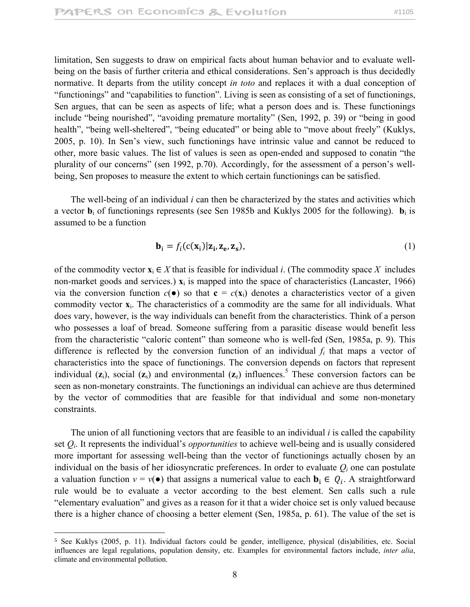limitation, Sen suggests to draw on empirical facts about human behavior and to evaluate wellbeing on the basis of further criteria and ethical considerations. Sen's approach is thus decidedly normative. It departs from the utility concept *in toto* and replaces it with a dual conception of "functionings" and "capabilities to function". Living is seen as consisting of a set of functionings, Sen argues, that can be seen as aspects of life; what a person does and is. These functionings include "being nourished", "avoiding premature mortality" (Sen, 1992, p. 39) or "being in good health", "being well-sheltered", "being educated" or being able to "move about freely" (Kuklys, 2005, p. 10). In Sen's view, such functionings have intrinsic value and cannot be reduced to other, more basic values. The list of values is seen as open-ended and supposed to conatin "the plurality of our concerns" (sen 1992, p.70). Accordingly, for the assessment of a person's wellbeing, Sen proposes to measure the extent to which certain functionings can be satisfied.

 The well-being of an individual *i* can then be characterized by the states and activities which a vector  $\mathbf{b}_i$  of functionings represents (see Sen 1985b and Kuklys 2005 for the following).  $\mathbf{b}_i$  is assumed to be a function

$$
\mathbf{b}_i = f_i(c(\mathbf{x}_i)|\mathbf{z}_i, \mathbf{z}_e, \mathbf{z}_s),
$$
 (1)

of the commodity vector  $\mathbf{x}_i \in X$  that is feasible for individual *i*. (The commodity space X includes non-market goods and services.)  $\mathbf{x}_i$  is mapped into the space of characteristics (Lancaster, 1966) via the conversion function  $c(\bullet)$  so that  $\mathbf{c} = c(\mathbf{x}_i)$  denotes a characteristics vector of a given commodity vector **x**i. The characteristics of a commodity are the same for all individuals. What does vary, however, is the way individuals can benefit from the characteristics. Think of a person who possesses a loaf of bread. Someone suffering from a parasitic disease would benefit less from the characteristic "caloric content" than someone who is well-fed (Sen, 1985a, p. 9). This difference is reflected by the conversion function of an individual *fi* that maps a vector of characteristics into the space of functionings. The conversion depends on factors that represent individual  $(z_i)$ , social  $(z_s)$  and environmental  $(z_e)$  influences.<sup>5</sup> These conversion factors can be seen as non-monetary constraints. The functionings an individual can achieve are thus determined by the vector of commodities that are feasible for that individual and some non-monetary constraints.

 The union of all functioning vectors that are feasible to an individual *i* is called the capability set *Qi*. It represents the individual's *opportunities* to achieve well-being and is usually considered more important for assessing well-being than the vector of functionings actually chosen by an individual on the basis of her idiosyncratic preferences. In order to evaluate  $Q_i$  one can postulate a valuation function  $v = v(\bullet)$  that assigns a numerical value to each  $\mathbf{b}_i \in Q_i$ . A straightforward rule would be to evaluate a vector according to the best element. Sen calls such a rule "elementary evaluation" and gives as a reason for it that a wider choice set is only valued because there is a higher chance of choosing a better element (Sen, 1985a, p. 61). The value of the set is

<sup>5</sup> See Kuklys (2005, p. 11). Individual factors could be gender, intelligence, physical (dis)abilities, etc. Social influences are legal regulations, population density, etc. Examples for environmental factors include, *inter alia*, climate and environmental pollution.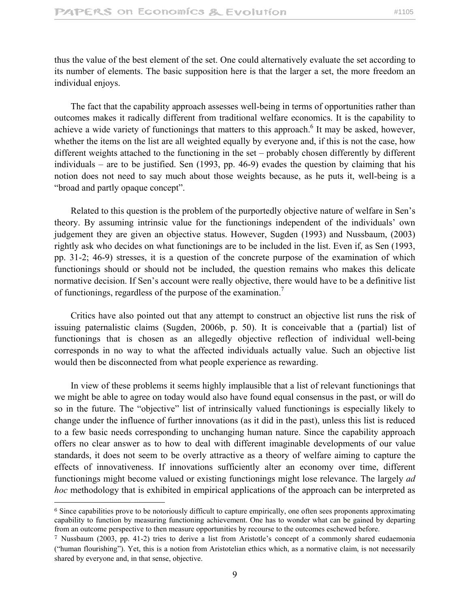thus the value of the best element of the set. One could alternatively evaluate the set according to its number of elements. The basic supposition here is that the larger a set, the more freedom an individual enjoys.

 The fact that the capability approach assesses well-being in terms of opportunities rather than outcomes makes it radically different from traditional welfare economics. It is the capability to achieve a wide variety of functionings that matters to this approach.<sup>6</sup> It may be asked, however, whether the items on the list are all weighted equally by everyone and, if this is not the case, how different weights attached to the functioning in the set – probably chosen differently by different individuals – are to be justified. Sen (1993, pp. 46-9) evades the question by claiming that his notion does not need to say much about those weights because, as he puts it, well-being is a "broad and partly opaque concept".

 Related to this question is the problem of the purportedly objective nature of welfare in Sen's theory. By assuming intrinsic value for the functionings independent of the individuals' own judgement they are given an objective status. However, Sugden (1993) and Nussbaum, (2003) rightly ask who decides on what functionings are to be included in the list. Even if, as Sen (1993, pp. 31-2; 46-9) stresses, it is a question of the concrete purpose of the examination of which functionings should or should not be included, the question remains who makes this delicate normative decision. If Sen's account were really objective, there would have to be a definitive list of functionings, regardless of the purpose of the examination.<sup>7</sup>

 Critics have also pointed out that any attempt to construct an objective list runs the risk of issuing paternalistic claims (Sugden, 2006b, p. 50). It is conceivable that a (partial) list of functionings that is chosen as an allegedly objective reflection of individual well-being corresponds in no way to what the affected individuals actually value. Such an objective list would then be disconnected from what people experience as rewarding.

 In view of these problems it seems highly implausible that a list of relevant functionings that we might be able to agree on today would also have found equal consensus in the past, or will do so in the future. The "objective" list of intrinsically valued functionings is especially likely to change under the influence of further innovations (as it did in the past), unless this list is reduced to a few basic needs corresponding to unchanging human nature. Since the capability approach offers no clear answer as to how to deal with different imaginable developments of our value standards, it does not seem to be overly attractive as a theory of welfare aiming to capture the effects of innovativeness. If innovations sufficiently alter an economy over time, different functionings might become valued or existing functionings might lose relevance. The largely *ad hoc* methodology that is exhibited in empirical applications of the approach can be interpreted as

<sup>&</sup>lt;sup>6</sup> Since capabilities prove to be notoriously difficult to capture empirically, one often sees proponents approximating capability to function by measuring functioning achievement. One has to wonder what can be gained by departing from an outcome perspective to then measure opportunities by recourse to the outcomes eschewed before.

<sup>7</sup> Nussbaum (2003, pp. 41-2) tries to derive a list from Aristotle's concept of a commonly shared eudaemonia ("human flourishing"). Yet, this is a notion from Aristotelian ethics which, as a normative claim, is not necessarily shared by everyone and, in that sense, objective.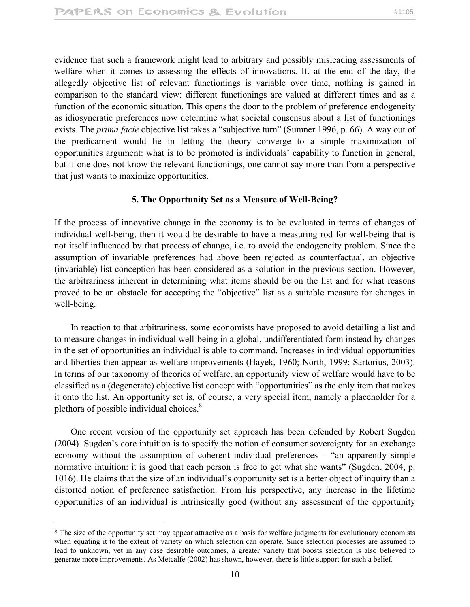evidence that such a framework might lead to arbitrary and possibly misleading assessments of welfare when it comes to assessing the effects of innovations. If, at the end of the day, the allegedly objective list of relevant functionings is variable over time, nothing is gained in comparison to the standard view: different functionings are valued at different times and as a function of the economic situation. This opens the door to the problem of preference endogeneity as idiosyncratic preferences now determine what societal consensus about a list of functionings exists. The *prima facie* objective list takes a "subjective turn" (Sumner 1996, p. 66). A way out of the predicament would lie in letting the theory converge to a simple maximization of opportunities argument: what is to be promoted is individuals' capability to function in general, but if one does not know the relevant functionings, one cannot say more than from a perspective that just wants to maximize opportunities.

# **5. The Opportunity Set as a Measure of Well-Being?**

If the process of innovative change in the economy is to be evaluated in terms of changes of individual well-being, then it would be desirable to have a measuring rod for well-being that is not itself influenced by that process of change, i.e. to avoid the endogeneity problem. Since the assumption of invariable preferences had above been rejected as counterfactual, an objective (invariable) list conception has been considered as a solution in the previous section. However, the arbitrariness inherent in determining what items should be on the list and for what reasons proved to be an obstacle for accepting the "objective" list as a suitable measure for changes in well-being.

 In reaction to that arbitrariness, some economists have proposed to avoid detailing a list and to measure changes in individual well-being in a global, undifferentiated form instead by changes in the set of opportunities an individual is able to command. Increases in individual opportunities and liberties then appear as welfare improvements (Hayek, 1960; North, 1999; Sartorius, 2003). In terms of our taxonomy of theories of welfare, an opportunity view of welfare would have to be classified as a (degenerate) objective list concept with "opportunities" as the only item that makes it onto the list. An opportunity set is, of course, a very special item, namely a placeholder for a plethora of possible individual choices.<sup>8</sup>

 One recent version of the opportunity set approach has been defended by Robert Sugden (2004). Sugden's core intuition is to specify the notion of consumer sovereignty for an exchange economy without the assumption of coherent individual preferences – "an apparently simple normative intuition: it is good that each person is free to get what she wants" (Sugden, 2004, p. 1016). He claims that the size of an individual's opportunity set is a better object of inquiry than a distorted notion of preference satisfaction. From his perspective, any increase in the lifetime opportunities of an individual is intrinsically good (without any assessment of the opportunity

<sup>&</sup>lt;sup>8</sup> The size of the opportunity set may appear attractive as a basis for welfare judgments for evolutionary economists when equating it to the extent of variety on which selection can operate. Since selection processes are assumed to lead to unknown, yet in any case desirable outcomes, a greater variety that boosts selection is also believed to generate more improvements. As Metcalfe (2002) has shown, however, there is little support for such a belief.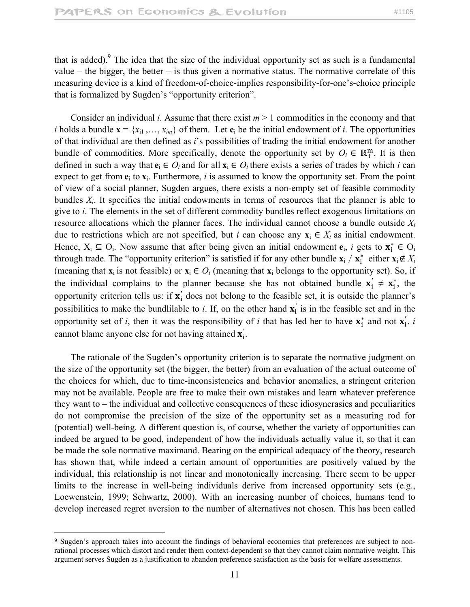that is added). <sup>9</sup> The idea that the size of the individual opportunity set as such is a fundamental value – the bigger, the better – is thus given a normative status. The normative correlate of this measuring device is a kind of freedom-of-choice-implies responsibility-for-one's-choice principle that is formalized by Sugden's "opportunity criterion".

 Consider an individual *i*. Assume that there exist *m* > 1 commodities in the economy and that *i* holds a bundle  $\mathbf{x} = \{x_{i1}, \ldots, x_{im}\}\$  of them. Let  $\mathbf{e}_i$  be the initial endowment of *i*. The opportunities of that individual are then defined as *i*'s possibilities of trading the initial endowment for another bundle of commodities. More specifically, denote the opportunity set by  $O_i \in \mathbb{R}^m_+$ . It is then defined in such a way that  $e_i \in O_i$  and for all  $x_i \in O_i$  there exists a series of trades by which *i* can expect to get from  $e_i$  to  $x_i$ . Furthermore, *i* is assumed to know the opportunity set. From the point of view of a social planner, Sugden argues, there exists a non-empty set of feasible commodity bundles  $X_i$ . It specifies the initial endowments in terms of resources that the planner is able to give to *i*. The elements in the set of different commodity bundles reflect exogenous limitations on resource allocations which the planner faces. The individual cannot choose a bundle outside *Xi* due to restrictions which are not specified, but *i* can choose any  $\mathbf{x}_i \in X_i$  as initial endowment. Hence,  $X_i \subseteq O_i$ . Now assume that after being given an initial endowment  $e_i$ , *i* gets to  $\mathbf{x}_i^* \in O_i$ through trade. The "opportunity criterion" is satisfied if for any other bundle  $\mathbf{x}_i \neq \mathbf{x}_i^*$  either  $\mathbf{x}_i \notin X_i$ (meaning that  $\mathbf{x}_i$  is not feasible) or  $\mathbf{x}_i \in O_i$  (meaning that  $\mathbf{x}_i$  belongs to the opportunity set). So, if the individual complains to the planner because she has not obtained bundle  $x'_i \neq x^*_i$ , the opportunity criterion tells us: if  $x'_i$  does not belong to the feasible set, it is outside the planner's possibilities to make the bundlilable to *i*. If, on the other hand  $\mathbf{x}'_i$  is in the feasible set and in the opportunity set of *i*, then it was the responsibility of *i* that has led her to have  $\mathbf{x}_i^*$  and not  $\mathbf{x}_i^*$ . *i* cannot blame anyone else for not having attained  $\mathbf{x}'_i$ .

 The rationale of the Sugden's opportunity criterion is to separate the normative judgment on the size of the opportunity set (the bigger, the better) from an evaluation of the actual outcome of the choices for which, due to time-inconsistencies and behavior anomalies, a stringent criterion may not be available. People are free to make their own mistakes and learn whatever preference they want to – the individual and collective consequences of these idiosyncrasies and peculiarities do not compromise the precision of the size of the opportunity set as a measuring rod for (potential) well-being. A different question is, of course, whether the variety of opportunities can indeed be argued to be good, independent of how the individuals actually value it, so that it can be made the sole normative maximand. Bearing on the empirical adequacy of the theory, research has shown that, while indeed a certain amount of opportunities are positively valued by the individual, this relationship is not linear and monotonically increasing. There seem to be upper limits to the increase in well-being individuals derive from increased opportunity sets (e.g., Loewenstein, 1999; Schwartz, 2000). With an increasing number of choices, humans tend to develop increased regret aversion to the number of alternatives not chosen. This has been called

<sup>9</sup> Sugden's approach takes into account the findings of behavioral economics that preferences are subject to nonrational processes which distort and render them context-dependent so that they cannot claim normative weight. This argument serves Sugden as a justification to abandon preference satisfaction as the basis for welfare assessments.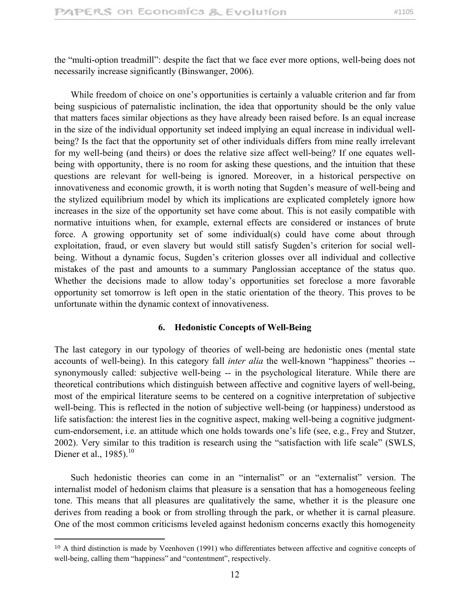the "multi-option treadmill": despite the fact that we face ever more options, well-being does not necessarily increase significantly (Binswanger, 2006).

 While freedom of choice on one's opportunities is certainly a valuable criterion and far from being suspicious of paternalistic inclination, the idea that opportunity should be the only value that matters faces similar objections as they have already been raised before. Is an equal increase in the size of the individual opportunity set indeed implying an equal increase in individual wellbeing? Is the fact that the opportunity set of other individuals differs from mine really irrelevant for my well-being (and theirs) or does the relative size affect well-being? If one equates wellbeing with opportunity, there is no room for asking these questions, and the intuition that these questions are relevant for well-being is ignored. Moreover, in a historical perspective on innovativeness and economic growth, it is worth noting that Sugden's measure of well-being and the stylized equilibrium model by which its implications are explicated completely ignore how increases in the size of the opportunity set have come about. This is not easily compatible with normative intuitions when, for example, external effects are considered or instances of brute force. A growing opportunity set of some individual(s) could have come about through exploitation, fraud, or even slavery but would still satisfy Sugden's criterion for social wellbeing. Without a dynamic focus, Sugden's criterion glosses over all individual and collective mistakes of the past and amounts to a summary Panglossian acceptance of the status quo. Whether the decisions made to allow today's opportunities set foreclose a more favorable opportunity set tomorrow is left open in the static orientation of the theory. This proves to be unfortunate within the dynamic context of innovativeness.

# **6. Hedonistic Concepts of Well-Being**

The last category in our typology of theories of well-being are hedonistic ones (mental state accounts of well-being). In this category fall *inter alia* the well-known "happiness" theories - synonymously called: subjective well-being -- in the psychological literature. While there are theoretical contributions which distinguish between affective and cognitive layers of well-being, most of the empirical literature seems to be centered on a cognitive interpretation of subjective well-being. This is reflected in the notion of subjective well-being (or happiness) understood as life satisfaction: the interest lies in the cognitive aspect, making well-being a cognitive judgmentcum-endorsement, i.e. an attitude which one holds towards one's life (see, e.g., Frey and Stutzer, 2002). Very similar to this tradition is research using the "satisfaction with life scale" (SWLS, Diener et al.,  $1985$ .<sup>10</sup>

 Such hedonistic theories can come in an "internalist" or an "externalist" version. The internalist model of hedonism claims that pleasure is a sensation that has a homogeneous feeling tone. This means that all pleasures are qualitatively the same, whether it is the pleasure one derives from reading a book or from strolling through the park, or whether it is carnal pleasure. One of the most common criticisms leveled against hedonism concerns exactly this homogeneity

 $10$  A third distinction is made by Veenhoven (1991) who differentiates between affective and cognitive concepts of well-being, calling them "happiness" and "contentment", respectively.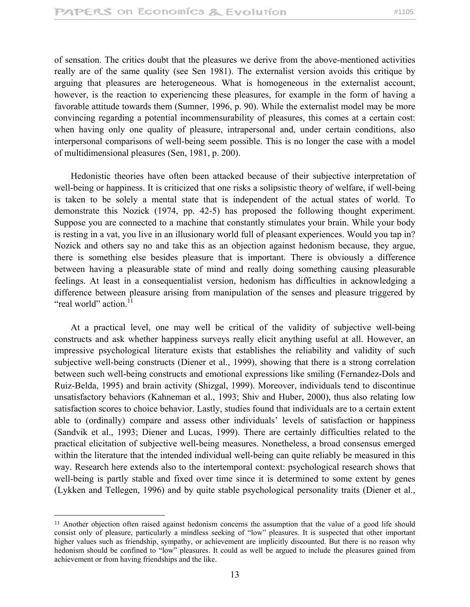of sensation. The critics doubt that the pleasures we derive from the above-mentioned activities really are of the same quality (see Sen 1981). The externalist version avoids this critique by arguing that pleasures are heterogeneous. What is homogeneous in the externalist account, however, is the reaction to experiencing these pleasures, for example in the form of having a favorable attitude towards them (Sumner, 1996, p. 90). While the externalist model may be more convincing regarding a potential incommensurability of pleasures, this comes at a certain cost: when having only one quality of pleasure, intrapersonal and, under certain conditions, also interpersonal comparisons of well-being seem possible. This is no longer the case with a model of multidimensional pleasures (Sen, 1981, p. 200).

 Hedonistic theories have often been attacked because of their subjective interpretation of well-being or happiness. It is criticized that one risks a solipsistic theory of welfare, if well-being is taken to be solely a mental state that is independent of the actual states of world. To demonstrate this Nozick (1974, pp. 42-5) has proposed the following thought experiment. Suppose you are connected to a machine that constantly stimulates your brain. While your body is resting in a vat, you live in an illusionary world full of pleasant experiences. Would you tap in? Nozick and others say no and take this as an objection against hedonism because, they argue, there is something else besides pleasure that is important. There is obviously a difference between having a pleasurable state of mind and really doing something causing pleasurable feelings. At least in a consequentialist version, hedonism has difficulties in acknowledging a difference between pleasure arising from manipulation of the senses and pleasure triggered by "real world" action.<sup>11</sup>

 At a practical level, one may well be critical of the validity of subjective well-being constructs and ask whether happiness surveys really elicit anything useful at all. However, an impressive psychological literature exists that establishes the reliability and validity of such subjective well-being constructs (Diener et al., 1999), showing that there is a strong correlation between such well-being constructs and emotional expressions like smiling (Fernandez-Dols and Ruiz-Belda, 1995) and brain activity (Shizgal, 1999). Moreover, individuals tend to discontinue unsatisfactory behaviors (Kahneman et al., 1993; Shiv and Huber, 2000), thus also relating low satisfaction scores to choice behavior. Lastly, studies found that individuals are to a certain extent able to (ordinally) compare and assess other individuals' levels of satisfaction or happiness (Sandvik et al., 1993; Diener and Lucas, 1999). There are certainly difficulties related to the practical elicitation of subjective well-being measures. Nonetheless, a broad consensus emerged within the literature that the intended individual well-being can quite reliably be measured in this way. Research here extends also to the intertemporal context: psychological research shows that well-being is partly stable and fixed over time since it is determined to some extent by genes (Lykken and Tellegen, 1996) and by quite stable psychological personality traits (Diener et al.,

 $\overline{a}$ 

<sup>11</sup> Another objection often raised against hedonism concerns the assumption that the value of a good life should consist only of pleasure, particularly a mindless seeking of "low" pleasures. It is suspected that other important higher values such as friendship, sympathy, or achievement are implicitly discounted. But there is no reason why hedonism should be confined to "low" pleasures. It could as well be argued to include the pleasures gained from achievement or from having friendships and the like.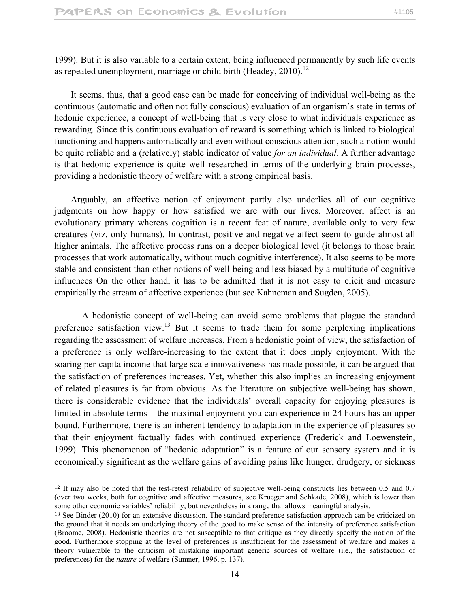1999). But it is also variable to a certain extent, being influenced permanently by such life events as repeated unemployment, marriage or child birth (Headey,  $2010$ ).<sup>12</sup>

 It seems, thus, that a good case can be made for conceiving of individual well-being as the continuous (automatic and often not fully conscious) evaluation of an organism's state in terms of hedonic experience, a concept of well-being that is very close to what individuals experience as rewarding. Since this continuous evaluation of reward is something which is linked to biological functioning and happens automatically and even without conscious attention, such a notion would be quite reliable and a (relatively) stable indicator of value *for an individual*. A further advantage is that hedonic experience is quite well researched in terms of the underlying brain processes, providing a hedonistic theory of welfare with a strong empirical basis.

 Arguably, an affective notion of enjoyment partly also underlies all of our cognitive judgments on how happy or how satisfied we are with our lives. Moreover, affect is an evolutionary primary whereas cognition is a recent feat of nature, available only to very few creatures (viz. only humans). In contrast, positive and negative affect seem to guide almost all higher animals. The affective process runs on a deeper biological level (it belongs to those brain processes that work automatically, without much cognitive interference). It also seems to be more stable and consistent than other notions of well-being and less biased by a multitude of cognitive influences On the other hand, it has to be admitted that it is not easy to elicit and measure empirically the stream of affective experience (but see Kahneman and Sugden, 2005).

A hedonistic concept of well-being can avoid some problems that plague the standard preference satisfaction view.<sup>13</sup> But it seems to trade them for some perplexing implications regarding the assessment of welfare increases. From a hedonistic point of view, the satisfaction of a preference is only welfare-increasing to the extent that it does imply enjoyment. With the soaring per-capita income that large scale innovativeness has made possible, it can be argued that the satisfaction of preferences increases. Yet, whether this also implies an increasing enjoyment of related pleasures is far from obvious. As the literature on subjective well-being has shown, there is considerable evidence that the individuals' overall capacity for enjoying pleasures is limited in absolute terms – the maximal enjoyment you can experience in 24 hours has an upper bound. Furthermore, there is an inherent tendency to adaptation in the experience of pleasures so that their enjoyment factually fades with continued experience (Frederick and Loewenstein, 1999). This phenomenon of "hedonic adaptation" is a feature of our sensory system and it is economically significant as the welfare gains of avoiding pains like hunger, drudgery, or sickness

 $\overline{a}$ 

<sup>12</sup> It may also be noted that the test-retest reliability of subjective well-being constructs lies between 0.5 and 0.7 (over two weeks, both for cognitive and affective measures, see Krueger and Schkade, 2008), which is lower than some other economic variables' reliability, but nevertheless in a range that allows meaningful analysis.

<sup>13</sup> See Binder (2010) for an extensive discussion. The standard preference satisfaction approach can be criticized on the ground that it needs an underlying theory of the good to make sense of the intensity of preference satisfaction (Broome, 2008). Hedonistic theories are not susceptible to that critique as they directly specify the notion of the good. Furthermore stopping at the level of preferences is insufficient for the assessment of welfare and makes a theory vulnerable to the criticism of mistaking important generic sources of welfare (i.e., the satisfaction of preferences) for the *nature* of welfare (Sumner, 1996, p. 137).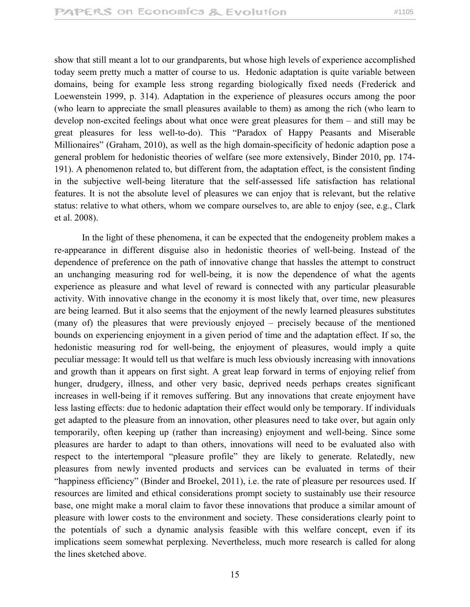show that still meant a lot to our grandparents, but whose high levels of experience accomplished today seem pretty much a matter of course to us. Hedonic adaptation is quite variable between domains, being for example less strong regarding biologically fixed needs (Frederick and Loewenstein 1999, p. 314). Adaptation in the experience of pleasures occurs among the poor (who learn to appreciate the small pleasures available to them) as among the rich (who learn to develop non-excited feelings about what once were great pleasures for them – and still may be great pleasures for less well-to-do). This "Paradox of Happy Peasants and Miserable Millionaires" (Graham, 2010), as well as the high domain-specificity of hedonic adaption pose a general problem for hedonistic theories of welfare (see more extensively, Binder 2010, pp. 174- 191). A phenomenon related to, but different from, the adaptation effect, is the consistent finding in the subjective well-being literature that the self-assessed life satisfaction has relational features. It is not the absolute level of pleasures we can enjoy that is relevant, but the relative status: relative to what others, whom we compare ourselves to, are able to enjoy (see, e.g., Clark et al. 2008).

 In the light of these phenomena, it can be expected that the endogeneity problem makes a re-appearance in different disguise also in hedonistic theories of well-being. Instead of the dependence of preference on the path of innovative change that hassles the attempt to construct an unchanging measuring rod for well-being, it is now the dependence of what the agents experience as pleasure and what level of reward is connected with any particular pleasurable activity. With innovative change in the economy it is most likely that, over time, new pleasures are being learned. But it also seems that the enjoyment of the newly learned pleasures substitutes (many of) the pleasures that were previously enjoyed – precisely because of the mentioned bounds on experiencing enjoyment in a given period of time and the adaptation effect. If so, the hedonistic measuring rod for well-being, the enjoyment of pleasures, would imply a quite peculiar message: It would tell us that welfare is much less obviously increasing with innovations and growth than it appears on first sight. A great leap forward in terms of enjoying relief from hunger, drudgery, illness, and other very basic, deprived needs perhaps creates significant increases in well-being if it removes suffering. But any innovations that create enjoyment have less lasting effects: due to hedonic adaptation their effect would only be temporary. If individuals get adapted to the pleasure from an innovation, other pleasures need to take over, but again only temporarily, often keeping up (rather than increasing) enjoyment and well-being. Since some pleasures are harder to adapt to than others, innovations will need to be evaluated also with respect to the intertemporal "pleasure profile" they are likely to generate. Relatedly, new pleasures from newly invented products and services can be evaluated in terms of their "happiness efficiency" (Binder and Broekel, 2011), i.e. the rate of pleasure per resources used. If resources are limited and ethical considerations prompt society to sustainably use their resource base, one might make a moral claim to favor these innovations that produce a similar amount of pleasure with lower costs to the environment and society. These considerations clearly point to the potentials of such a dynamic analysis feasible with this welfare concept, even if its implications seem somewhat perplexing. Nevertheless, much more research is called for along the lines sketched above.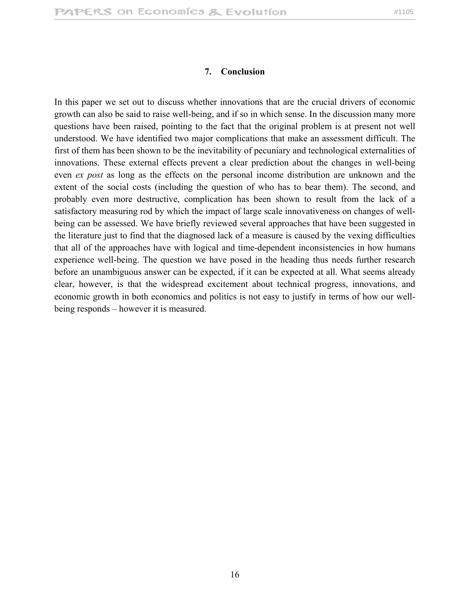#### **7. Conclusion**

In this paper we set out to discuss whether innovations that are the crucial drivers of economic growth can also be said to raise well-being, and if so in which sense. In the discussion many more questions have been raised, pointing to the fact that the original problem is at present not well understood. We have identified two major complications that make an assessment difficult. The first of them has been shown to be the inevitability of pecuniary and technological externalities of innovations. These external effects prevent a clear prediction about the changes in well-being even *ex post* as long as the effects on the personal income distribution are unknown and the extent of the social costs (including the question of who has to bear them). The second, and probably even more destructive, complication has been shown to result from the lack of a satisfactory measuring rod by which the impact of large scale innovativeness on changes of wellbeing can be assessed. We have briefly reviewed several approaches that have been suggested in the literature just to find that the diagnosed lack of a measure is caused by the vexing difficulties that all of the approaches have with logical and time-dependent inconsistencies in how humans experience well-being. The question we have posed in the heading thus needs further research before an unambiguous answer can be expected, if it can be expected at all. What seems already clear, however, is that the widespread excitement about technical progress, innovations, and economic growth in both economics and politics is not easy to justify in terms of how our wellbeing responds – however it is measured.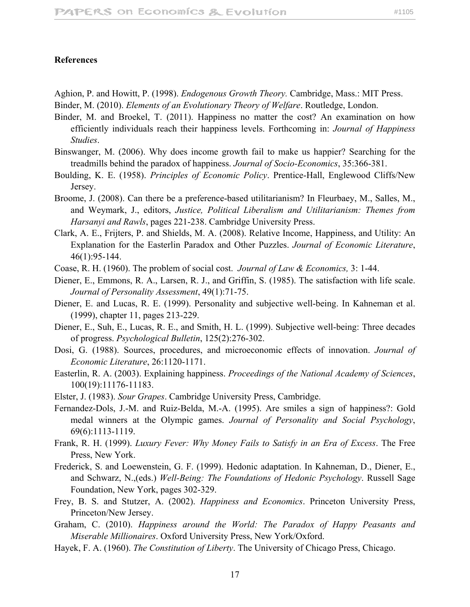#### **References**

Aghion, P. and Howitt, P. (1998). *Endogenous Growth Theory.* Cambridge, Mass.: MIT Press.

- Binder, M. (2010). *Elements of an Evolutionary Theory of Welfare*. Routledge, London.
- Binder, M. and Broekel, T. (2011). Happiness no matter the cost? An examination on how efficiently individuals reach their happiness levels. Forthcoming in: *Journal of Happiness Studies*.
- Binswanger, M. (2006). Why does income growth fail to make us happier? Searching for the treadmills behind the paradox of happiness. *Journal of Socio-Economics*, 35:366-381.
- Boulding, K. E. (1958). *Principles of Economic Policy*. Prentice-Hall, Englewood Cliffs/New Jersey.
- Broome, J. (2008). Can there be a preference-based utilitarianism? In Fleurbaey, M., Salles, M., and Weymark, J., editors, *Justice, Political Liberalism and Utilitarianism: Themes from Harsanyi and Rawls*, pages 221-238. Cambridge University Press.
- Clark, A. E., Frijters, P. and Shields, M. A. (2008). Relative Income, Happiness, and Utility: An Explanation for the Easterlin Paradox and Other Puzzles. *Journal of Economic Literature*, 46(1):95-144.
- Coase, R. H. (1960). The problem of social cost. *Journal of Law & Economics,* 3: 1-44.
- Diener, E., Emmons, R. A., Larsen, R. J., and Griffin, S. (1985). The satisfaction with life scale. *Journal of Personality Assessment*, 49(1):71-75.
- Diener, E. and Lucas, R. E. (1999). Personality and subjective well-being. In Kahneman et al. (1999), chapter 11, pages 213-229.
- Diener, E., Suh, E., Lucas, R. E., and Smith, H. L. (1999). Subjective well-being: Three decades of progress. *Psychological Bulletin*, 125(2):276-302.
- Dosi, G. (1988). Sources, procedures, and microeconomic effects of innovation. *Journal of Economic Literature*, 26:1120-1171.
- Easterlin, R. A. (2003). Explaining happiness. *Proceedings of the National Academy of Sciences*, 100(19):11176-11183.
- Elster, J. (1983). *Sour Grapes*. Cambridge University Press, Cambridge.
- Fernandez-Dols, J.-M. and Ruiz-Belda, M.-A. (1995). Are smiles a sign of happiness?: Gold medal winners at the Olympic games. *Journal of Personality and Social Psychology*, 69(6):1113-1119.
- Frank, R. H. (1999). *Luxury Fever: Why Money Fails to Satisfy in an Era of Excess*. The Free Press, New York.
- Frederick, S. and Loewenstein, G. F. (1999). Hedonic adaptation. In Kahneman, D., Diener, E., and Schwarz, N.,(eds.) *Well-Being: The Foundations of Hedonic Psychology*. Russell Sage Foundation, New York, pages 302-329.
- Frey, B. S. and Stutzer, A. (2002). *Happiness and Economics*. Princeton University Press, Princeton/New Jersey.
- Graham, C. (2010). *Happiness around the World: The Paradox of Happy Peasants and Miserable Millionaires*. Oxford University Press, New York/Oxford.
- Hayek, F. A. (1960). *The Constitution of Liberty*. The University of Chicago Press, Chicago.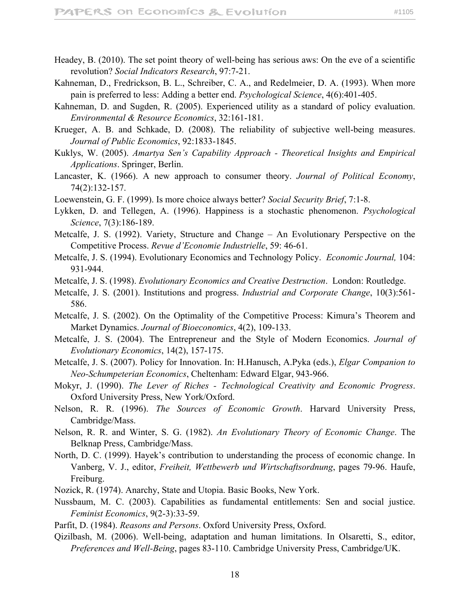- Headey, B. (2010). The set point theory of well-being has serious aws: On the eve of a scientific revolution? *Social Indicators Research*, 97:7-21.
- Kahneman, D., Fredrickson, B. L., Schreiber, C. A., and Redelmeier, D. A. (1993). When more pain is preferred to less: Adding a better end. *Psychological Science*, 4(6):401-405.
- Kahneman, D. and Sugden, R. (2005). Experienced utility as a standard of policy evaluation. *Environmental & Resource Economics*, 32:161-181.
- Krueger, A. B. and Schkade, D. (2008). The reliability of subjective well-being measures. *Journal of Public Economics*, 92:1833-1845.
- Kuklys, W. (2005). *Amartya Sen's Capability Approach Theoretical Insights and Empirical Applications*. Springer, Berlin.
- Lancaster, K. (1966). A new approach to consumer theory. *Journal of Political Economy*, 74(2):132-157.
- Loewenstein, G. F. (1999). Is more choice always better? *Social Security Brief*, 7:1-8.
- Lykken, D. and Tellegen, A. (1996). Happiness is a stochastic phenomenon. *Psychological Science*, 7(3):186-189.
- Metcalfe, J. S. (1992). Variety, Structure and Change An Evolutionary Perspective on the Competitive Process. *Revue d'Economie Industrielle*, 59: 46-61.
- Metcalfe, J. S. (1994). Evolutionary Economics and Technology Policy. *Economic Journal,* 104: 931-944.
- Metcalfe, J. S. (1998). *Evolutionary Economics and Creative Destruction*. London: Routledge.
- Metcalfe, J. S. (2001). Institutions and progress. *Industrial and Corporate Change*, 10(3):561- 586.
- Metcalfe, J. S. (2002). On the Optimality of the Competitive Process: Kimura's Theorem and Market Dynamics. *Journal of Bioeconomics*, 4(2), 109-133.
- Metcalfe, J. S. (2004). The Entrepreneur and the Style of Modern Economics. *Journal of Evolutionary Economics*, 14(2), 157-175.
- Metcalfe, J. S. (2007). Policy for Innovation. In: H.Hanusch, A.Pyka (eds.), *Elgar Companion to Neo-Schumpeterian Economics*, Cheltenham: Edward Elgar, 943-966.
- Mokyr, J. (1990). *The Lever of Riches Technological Creativity and Economic Progress*. Oxford University Press, New York/Oxford.
- Nelson, R. R. (1996). *The Sources of Economic Growth*. Harvard University Press, Cambridge/Mass.
- Nelson, R. R. and Winter, S. G. (1982). *An Evolutionary Theory of Economic Change*. The Belknap Press, Cambridge/Mass.
- North, D. C. (1999). Hayek's contribution to understanding the process of economic change. In Vanberg, V. J., editor, *Freiheit, Wettbewerb und Wirtschaftsordnung*, pages 79-96. Haufe, Freiburg.
- Nozick, R. (1974). Anarchy, State and Utopia. Basic Books, New York.
- Nussbaum, M. C. (2003). Capabilities as fundamental entitlements: Sen and social justice. *Feminist Economics*, 9(2-3):33-59.
- Parfit, D. (1984). *Reasons and Persons*. Oxford University Press, Oxford.
- Qizilbash, M. (2006). Well-being, adaptation and human limitations. In Olsaretti, S., editor, *Preferences and Well-Being*, pages 83-110. Cambridge University Press, Cambridge/UK.